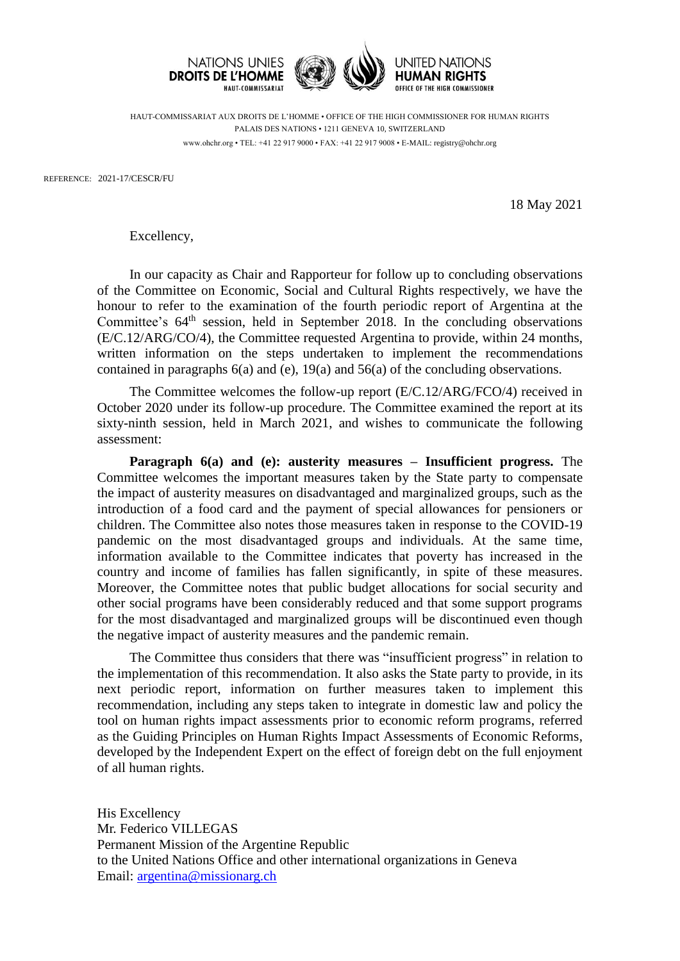



HUMAN RIGHTS **OFFICE OF THE HIGH COMMISSIONER** 

HAUT-COMMISSARIAT AUX DROITS DE L'HOMME • OFFICE OF THE HIGH COMMISSIONER FOR HUMAN RIGHTS PALAIS DES NATIONS • 1211 GENEVA 10, SWITZERLAND www.ohchr.org • TEL: +41 22 917 9000 • FAX: +41 22 917 9008 • E-MAIL: registry@ohchr.org

REFERENCE: 2021-17/CESCR/FU

18 May 2021

Excellency,

In our capacity as Chair and Rapporteur for follow up to concluding observations of the Committee on Economic, Social and Cultural Rights respectively, we have the honour to refer to the examination of the fourth periodic report of Argentina at the Committee's  $64<sup>th</sup>$  session, held in September 2018. In the concluding observations (E/C.12/ARG/CO/4), the Committee requested Argentina to provide, within 24 months, written information on the steps undertaken to implement the recommendations contained in paragraphs 6(a) and (e), 19(a) and 56(a) of the concluding observations.

The Committee welcomes the follow-up report (E/C.12/ARG/FCO/4) received in October 2020 under its follow-up procedure. The Committee examined the report at its sixty-ninth session, held in March 2021, and wishes to communicate the following assessment:

**Paragraph 6(a) and (e): austerity measures – Insufficient progress.** The Committee welcomes the important measures taken by the State party to compensate the impact of austerity measures on disadvantaged and marginalized groups, such as the introduction of a food card and the payment of special allowances for pensioners or children. The Committee also notes those measures taken in response to the COVID-19 pandemic on the most disadvantaged groups and individuals. At the same time, information available to the Committee indicates that poverty has increased in the country and income of families has fallen significantly, in spite of these measures. Moreover, the Committee notes that public budget allocations for social security and other social programs have been considerably reduced and that some support programs for the most disadvantaged and marginalized groups will be discontinued even though the negative impact of austerity measures and the pandemic remain.

The Committee thus considers that there was "insufficient progress" in relation to the implementation of this recommendation. It also asks the State party to provide, in its next periodic report, information on further measures taken to implement this recommendation, including any steps taken to integrate in domestic law and policy the tool on human rights impact assessments prior to economic reform programs, referred as the Guiding Principles on Human Rights Impact Assessments of Economic Reforms, developed by the Independent Expert on the effect of foreign debt on the full enjoyment of all human rights.

His Excellency Mr. Federico VILLEGAS Permanent Mission of the Argentine Republic to the United Nations Office and other international organizations in Geneva Email: [argentina@missionarg.ch](mailto:argentina@missionarg.ch)